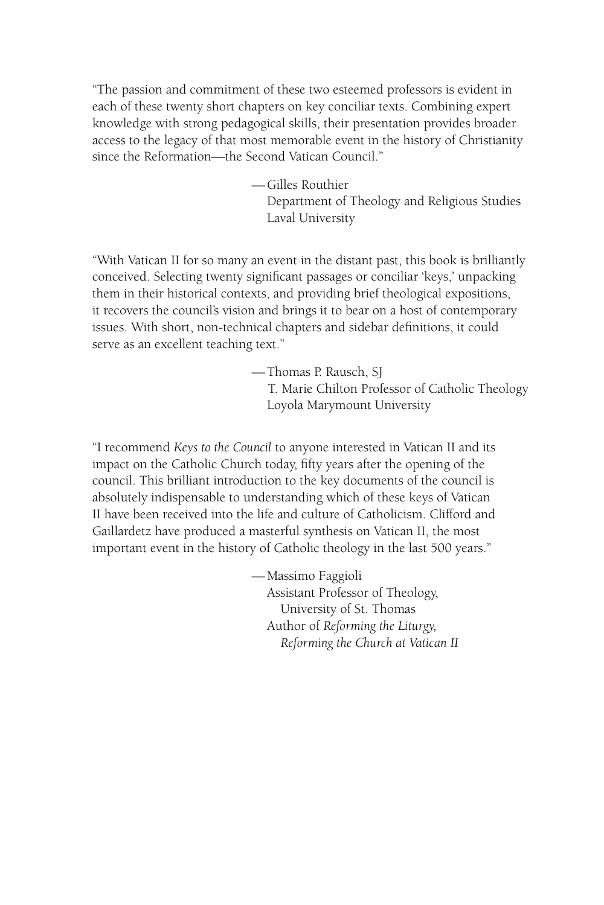"The passion and commitment of these two esteemed professors is evident in each of these twenty short chapters on key conciliar texts. Combining expert knowledge with strong pedagogical skills, their presentation provides broader access to the legacy of that most memorable event in the history of Christianity since the Reformation—the Second Vatican Council."

> —Gilles Routhier Department of Theology and Religious Studies Laval University

"With Vatican II for so many an event in the distant past, this book is brilliantly conceived. Selecting twenty significant passages or conciliar 'keys,' unpacking them in their historical contexts, and providing brief theological expositions, it recovers the council's vision and brings it to bear on a host of contemporary issues. With short, non-technical chapters and sidebar definitions, it could serve as an excellent teaching text."

> —Thomas P. Rausch, SJ T. Marie Chilton Professor of Catholic Theology Loyola Marymount University

"I recommend *Keys to the Council* to anyone interested in Vatican II and its impact on the Catholic Church today, fifty years after the opening of the council. This brilliant introduction to the key documents of the council is absolutely indispensable to understanding which of these keys of Vatican II have been received into the life and culture of Catholicism. Clifford and Gaillardetz have produced a masterful synthesis on Vatican II, the most important event in the history of Catholic theology in the last 500 years."

> —Massimo Faggioli Assistant Professor of Theology, University of St. Thomas Author of *Reforming the Liturgy, Reforming the Church at Vatican II*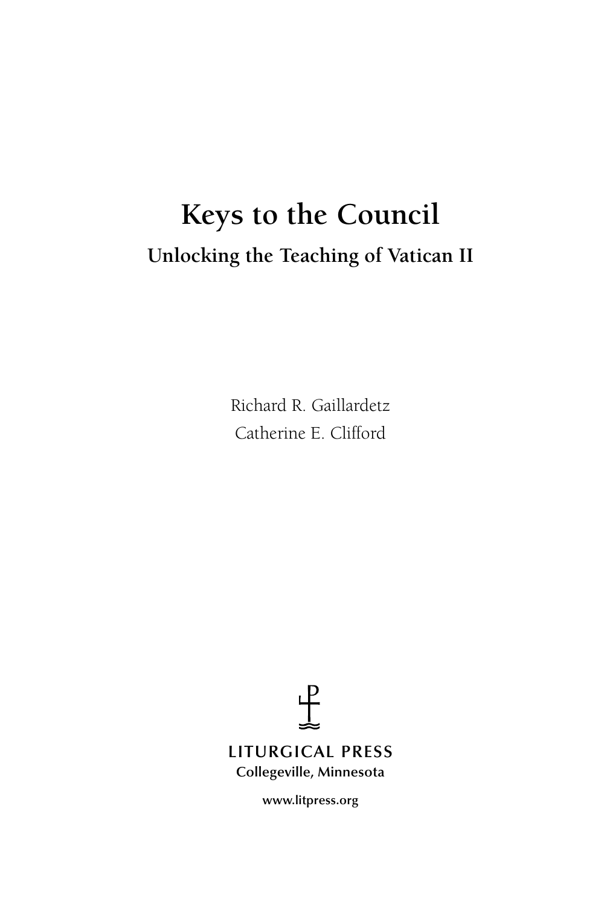# **Keys to the Council Unlocking the Teaching of Vatican II**

Richard R. Gaillardetz Catherine E. Clifford



**www.litpress.org**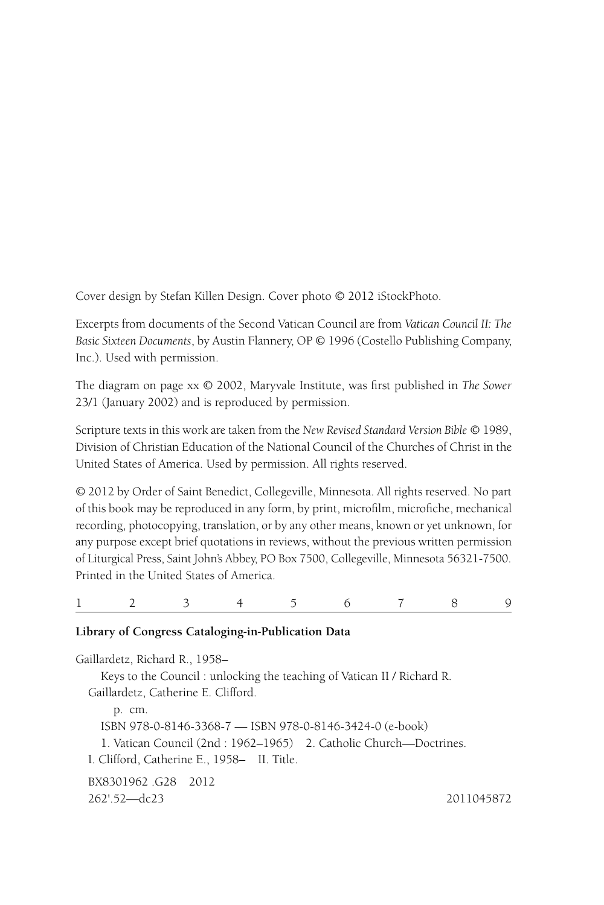Cover design by Stefan Killen Design. Cover photo © 2012 iStockPhoto.

Excerpts from documents of the Second Vatican Council are from *Vatican Council II: The Basic Sixteen Documents*, by Austin Flannery, OP © 1996 (Costello Publishing Company, Inc.). Used with permission.

The diagram on page xx © 2002, Maryvale Institute, was first published in *The Sower*  23/1 (January 2002) and is reproduced by permission.

Scripture texts in this work are taken from the *New Revised Standard Version Bible* © 1989, Division of Christian Education of the National Council of the Churches of Christ in the United States of America. Used by permission. All rights reserved.

© 2012 by Order of Saint Benedict, Collegeville, Minnesota. All rights reserved. No part of this book may be reproduced in any form, by print, microfilm, microfiche, mechanical recording, photocopying, translation, or by any other means, known or yet unknown, for any purpose except brief quotations in reviews, without the previous written permission of Liturgical Press, Saint John's Abbey, PO Box 7500, Collegeville, Minnesota 56321-7500. Printed in the United States of America.

123456789

#### **Library of Congress Cataloging-in-Publication Data**

Gaillardetz, Richard R., 1958– Keys to the Council : unlocking the teaching of Vatican II / Richard R. Gaillardetz, Catherine E. Clifford. p. cm. ISBN 978-0-8146-3368-7 — ISBN 978-0-8146-3424-0 (e-book) 1. Vatican Council (2nd : 1962–1965) 2. Catholic Church—Doctrines. I. Clifford, Catherine E., 1958– II. Title. BX8301962 .G28 2012 262'.52—dc23 2011045872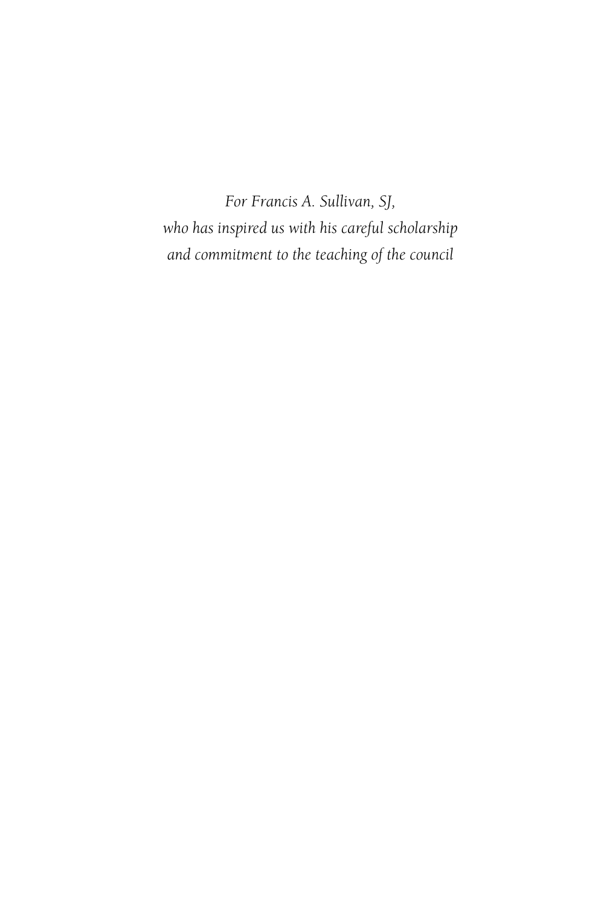*For Francis A. Sullivan, SJ, who has inspired us with his careful scholarship and commitment to the teaching of the council*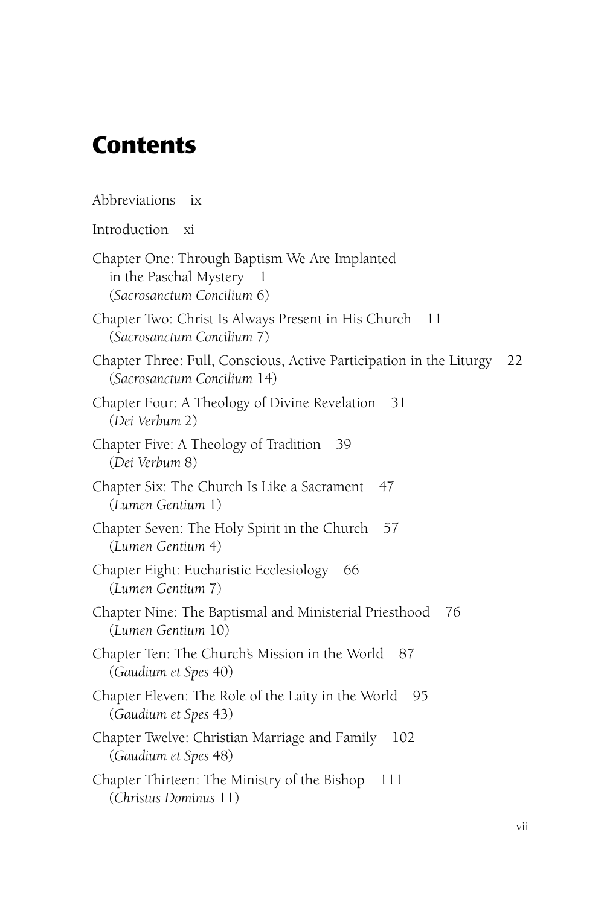## **Contents**

Abbreviations ix

Introduction xi Chapter One: Through Baptism We Are Implanted in the Paschal Mystery 1 (*Sacrosanctum Concilium* 6) Chapter Two: Christ Is Always Present in His Church 11 (*Sacrosanctum Concilium* 7) Chapter Three: Full, Conscious, Active Participation in the Liturgy 22 (*Sacrosanctum Concilium* 14) Chapter Four: A Theology of Divine Revelation 31 (*Dei Verbum* 2) Chapter Five: A Theology of Tradition 39 (*Dei Verbum* 8) Chapter Six: The Church Is Like a Sacrament 47 (*Lumen Gentium* 1) Chapter Seven: The Holy Spirit in the Church 57 (*Lumen Gentium* 4) Chapter Eight: Eucharistic Ecclesiology 66 (*Lumen Gentium* 7) Chapter Nine: The Baptismal and Ministerial Priesthood 76 (*Lumen Gentium* 10) Chapter Ten: The Church's Mission in the World 87 (*Gaudium et Spes* 40) Chapter Eleven: The Role of the Laity in the World 95 (*Gaudium et Spes* 43) Chapter Twelve: Christian Marriage and Family 102 (*Gaudium et Spes* 48) Chapter Thirteen: The Ministry of the Bishop 111 (*Christus Dominus* 11)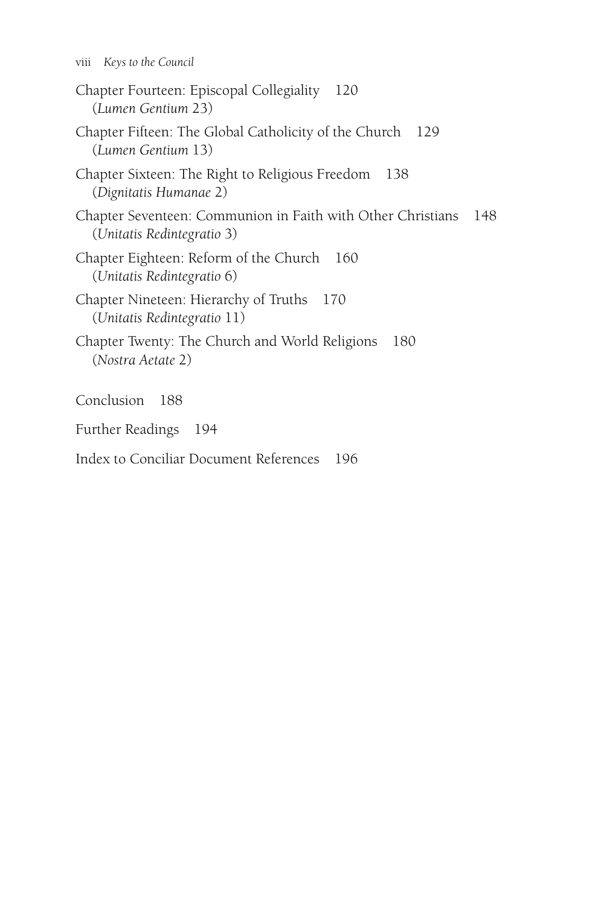Chapter Fourteen: Episcopal Collegiality 120 (*Lumen Gentium* 23) Chapter Fifteen: The Global Catholicity of the Church 129 (*Lumen Gentium* 13) Chapter Sixteen: The Right to Religious Freedom 138 (*Dignitatis Humanae* 2) Chapter Seventeen: Communion in Faith with Other Christians 148 (*Unitatis Redintegratio* 3) Chapter Eighteen: Reform of the Church 160 (*Unitatis Redintegratio* 6) Chapter Nineteen: Hierarchy of Truths 170 (*Unitatis Redintegratio* 11) Chapter Twenty: The Church and World Religions 180 (*Nostra Aetate* 2) Conclusion 188 Further Readings 194

Index to Conciliar Document References 196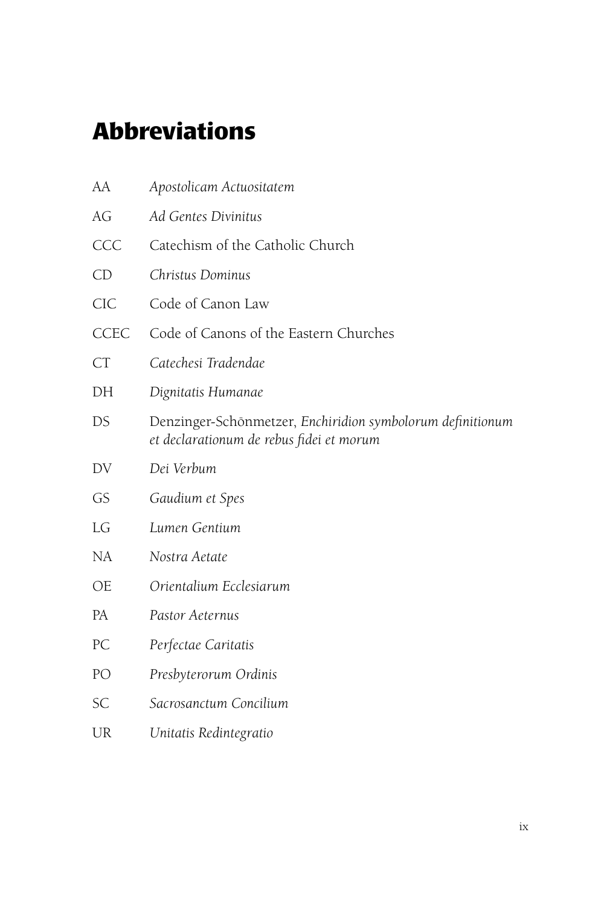## **Abbreviations**

| AA          | Apostolicam Actuositatem                                                                               |
|-------------|--------------------------------------------------------------------------------------------------------|
| AG          | Ad Gentes Divinitus                                                                                    |
| CCC         | Catechism of the Catholic Church                                                                       |
| CD          | Christus Dominus                                                                                       |
| <b>CIC</b>  | Code of Canon Law                                                                                      |
| <b>CCEC</b> | Code of Canons of the Eastern Churches                                                                 |
| <b>CT</b>   | Catechesi Tradendae                                                                                    |
| DH          | Dignitatis Humanae                                                                                     |
| DS          | Denzinger-Schönmetzer, Enchiridion symbolorum definitionum<br>et declarationum de rebus fidei et morum |
| DV          | Dei Verbum                                                                                             |
| GS          | Gaudium et Spes                                                                                        |
| LG          | Lumen Gentium                                                                                          |
| NA          | Nostra Aetate                                                                                          |
| OE          | Orientalium Ecclesiarum                                                                                |
| PA          | <b>Pastor Aeternus</b>                                                                                 |
| РC          | Perfectae Caritatis                                                                                    |
| PO          | Presbyterorum Ordinis                                                                                  |
| SC          | Sacrosanctum Concilium                                                                                 |
| UR          | Unitatis Redintegratio                                                                                 |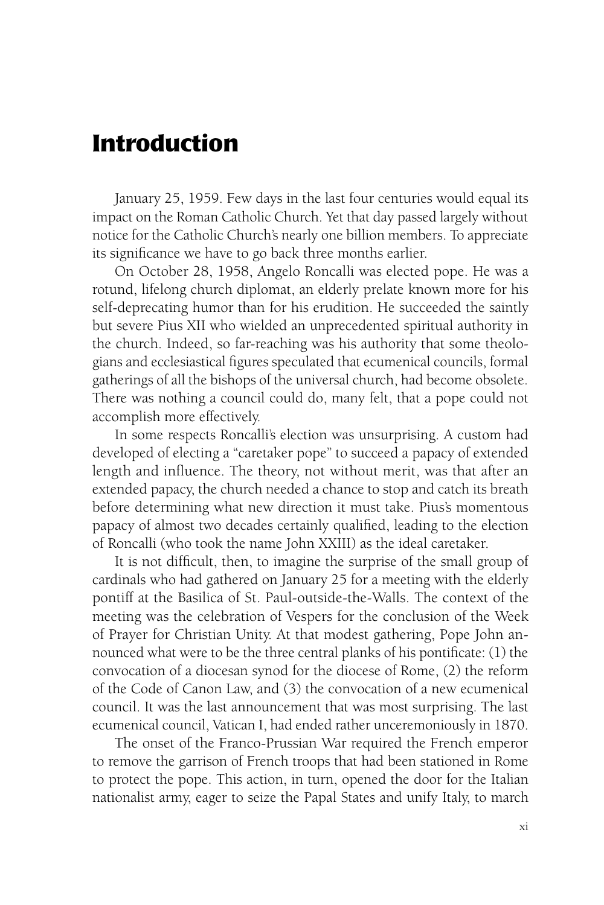### **Introduction**

January 25, 1959. Few days in the last four centuries would equal its impact on the Roman Catholic Church. Yet that day passed largely without notice for the Catholic Church's nearly one billion members. To appreciate its significance we have to go back three months earlier.

On October 28, 1958, Angelo Roncalli was elected pope. He was a rotund, lifelong church diplomat, an elderly prelate known more for his self-deprecating humor than for his erudition. He succeeded the saintly but severe Pius XII who wielded an unprecedented spiritual authority in the church. Indeed, so far-reaching was his authority that some theologians and ecclesiastical figures speculated that ecumenical councils, formal gatherings of all the bishops of the universal church, had become obsolete. There was nothing a council could do, many felt, that a pope could not accomplish more effectively.

In some respects Roncalli's election was unsurprising. A custom had developed of electing a "caretaker pope" to succeed a papacy of extended length and influence. The theory, not without merit, was that after an extended papacy, the church needed a chance to stop and catch its breath before determining what new direction it must take. Pius's momentous papacy of almost two decades certainly qualified, leading to the election of Roncalli (who took the name John XXIII) as the ideal caretaker.

It is not difficult, then, to imagine the surprise of the small group of cardinals who had gathered on January 25 for a meeting with the elderly pontiff at the Basilica of St. Paul-outside-the-Walls. The context of the meeting was the celebration of Vespers for the conclusion of the Week of Prayer for Christian Unity. At that modest gathering, Pope John announced what were to be the three central planks of his pontificate: (1) the convocation of a diocesan synod for the diocese of Rome, (2) the reform of the Code of Canon Law, and (3) the convocation of a new ecumenical council. It was the last announcement that was most surprising. The last ecumenical council, Vatican I, had ended rather unceremoniously in 1870.

The onset of the Franco-Prussian War required the French emperor to remove the garrison of French troops that had been stationed in Rome to protect the pope. This action, in turn, opened the door for the Italian nationalist army, eager to seize the Papal States and unify Italy, to march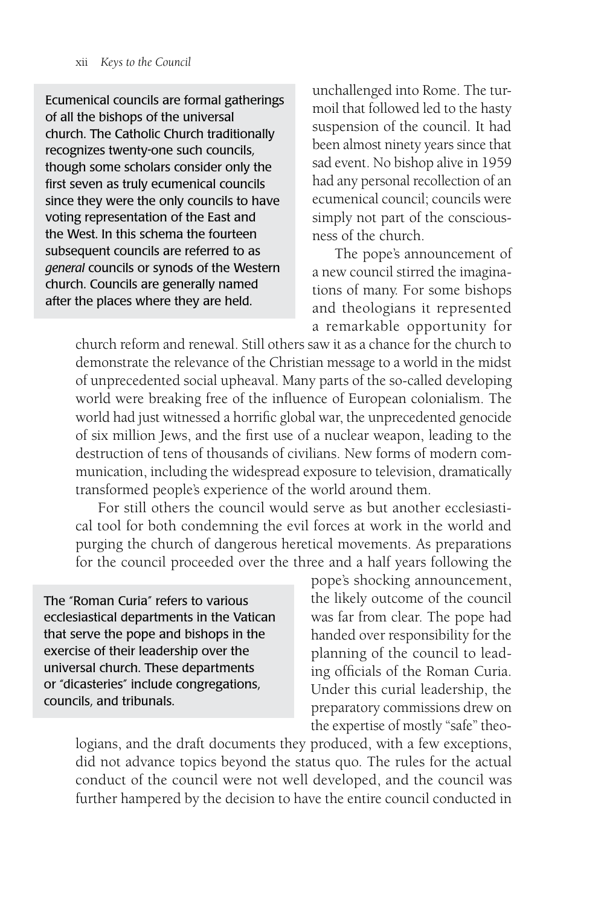Ecumenical councils are formal gatherings of all the bishops of the universal church. The Catholic Church traditionally recognizes twenty-one such councils, though some scholars consider only the first seven as truly ecumenical councils since they were the only councils to have voting representation of the East and the West. In this schema the fourteen subsequent councils are referred to as *general* councils or synods of the Western church. Councils are generally named after the places where they are held.

unchallenged into Rome. The turmoil that followed led to the hasty suspension of the council. It had been almost ninety years since that sad event. No bishop alive in 1959 had any personal recollection of an ecumenical council; councils were simply not part of the consciousness of the church.

The pope's announcement of a new council stirred the imaginations of many. For some bishops and theologians it represented a remarkable opportunity for

church reform and renewal. Still others saw it as a chance for the church to demonstrate the relevance of the Christian message to a world in the midst of unprecedented social upheaval. Many parts of the so-called developing world were breaking free of the influence of European colonialism. The world had just witnessed a horrific global war, the unprecedented genocide of six million Jews, and the first use of a nuclear weapon, leading to the destruction of tens of thousands of civilians. New forms of modern communication, including the widespread exposure to television, dramatically transformed people's experience of the world around them.

For still others the council would serve as but another ecclesiastical tool for both condemning the evil forces at work in the world and purging the church of dangerous heretical movements. As preparations for the council proceeded over the three and a half years following the

The "Roman Curia" refers to various ecclesiastical departments in the Vatican that serve the pope and bishops in the exercise of their leadership over the universal church. These departments or "dicasteries" include congregations, councils, and tribunals.

pope's shocking announcement, the likely outcome of the council was far from clear. The pope had handed over responsibility for the planning of the council to leading officials of the Roman Curia. Under this curial leadership, the preparatory commissions drew on the expertise of mostly "safe" theo-

logians, and the draft documents they produced, with a few exceptions, did not advance topics beyond the status quo*.* The rules for the actual conduct of the council were not well developed, and the council was further hampered by the decision to have the entire council conducted in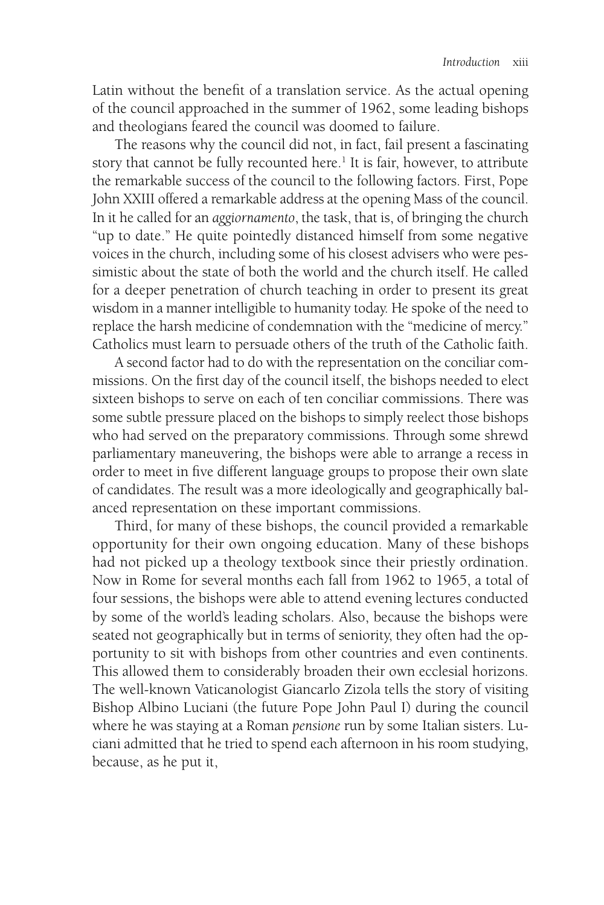Latin without the benefit of a translation service. As the actual opening of the council approached in the summer of 1962, some leading bishops and theologians feared the council was doomed to failure.

The reasons why the council did not, in fact, fail present a fascinating story that cannot be fully recounted here.<sup>1</sup> It is fair, however, to attribute the remarkable success of the council to the following factors. First, Pope John XXIII offered a remarkable address at the opening Mass of the council. In it he called for an *aggiornamento*, the task, that is, of bringing the church "up to date." He quite pointedly distanced himself from some negative voices in the church, including some of his closest advisers who were pessimistic about the state of both the world and the church itself. He called for a deeper penetration of church teaching in order to present its great wisdom in a manner intelligible to humanity today. He spoke of the need to replace the harsh medicine of condemnation with the "medicine of mercy." Catholics must learn to persuade others of the truth of the Catholic faith.

A second factor had to do with the representation on the conciliar commissions. On the first day of the council itself, the bishops needed to elect sixteen bishops to serve on each of ten conciliar commissions. There was some subtle pressure placed on the bishops to simply reelect those bishops who had served on the preparatory commissions. Through some shrewd parliamentary maneuvering, the bishops were able to arrange a recess in order to meet in five different language groups to propose their own slate of candidates. The result was a more ideologically and geographically balanced representation on these important commissions.

Third, for many of these bishops, the council provided a remarkable opportunity for their own ongoing education. Many of these bishops had not picked up a theology textbook since their priestly ordination. Now in Rome for several months each fall from 1962 to 1965, a total of four sessions, the bishops were able to attend evening lectures conducted by some of the world's leading scholars. Also, because the bishops were seated not geographically but in terms of seniority, they often had the opportunity to sit with bishops from other countries and even continents. This allowed them to considerably broaden their own ecclesial horizons. The well-known Vaticanologist Giancarlo Zizola tells the story of visiting Bishop Albino Luciani (the future Pope John Paul I) during the council where he was staying at a Roman *pensione* run by some Italian sisters. Luciani admitted that he tried to spend each afternoon in his room studying, because, as he put it,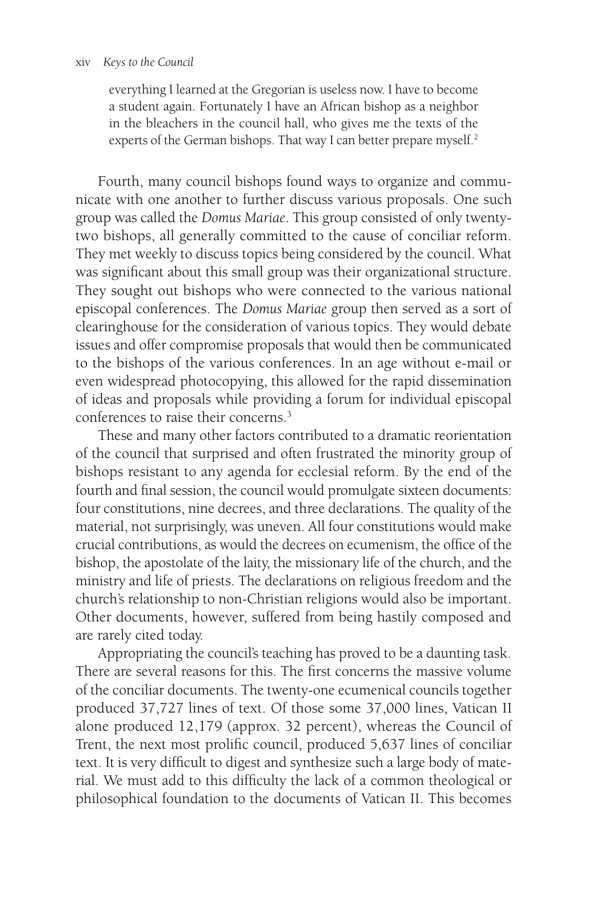everything I learned at the Gregorian is useless now. I have to become a student again. Fortunately I have an African bishop as a neighbor in the bleachers in the council hall, who gives me the texts of the experts of the German bishops. That way I can better prepare myself.<sup>2</sup>

Fourth, many council bishops found ways to organize and communicate with one another to further discuss various proposals. One such group was called the *Domus Mariae*. This group consisted of only twentytwo bishops, all generally committed to the cause of conciliar reform. They met weekly to discuss topics being considered by the council. What was significant about this small group was their organizational structure. They sought out bishops who were connected to the various national episcopal conferences. The *Domus Mariae* group then served as a sort of clearinghouse for the consideration of various topics. They would debate issues and offer compromise proposals that would then be communicated to the bishops of the various conferences. In an age without e-mail or even widespread photocopying, this allowed for the rapid dissemination of ideas and proposals while providing a forum for individual episcopal conferences to raise their concerns.3

These and many other factors contributed to a dramatic reorientation of the council that surprised and often frustrated the minority group of bishops resistant to any agenda for ecclesial reform. By the end of the fourth and final session, the council would promulgate sixteen documents: four constitutions, nine decrees, and three declarations. The quality of the material, not surprisingly, was uneven. All four constitutions would make crucial contributions, as would the decrees on ecumenism, the office of the bishop, the apostolate of the laity, the missionary life of the church, and the ministry and life of priests. The declarations on religious freedom and the church's relationship to non-Christian religions would also be important. Other documents, however, suffered from being hastily composed and are rarely cited today.

Appropriating the council's teaching has proved to be a daunting task. There are several reasons for this. The first concerns the massive volume of the conciliar documents. The twenty-one ecumenical councils together produced 37,727 lines of text. Of those some 37,000 lines, Vatican II alone produced 12,179 (approx. 32 percent), whereas the Council of Trent, the next most prolific council, produced 5,637 lines of conciliar text. It is very difficult to digest and synthesize such a large body of material. We must add to this difficulty the lack of a common theological or philosophical foundation to the documents of Vatican II. This becomes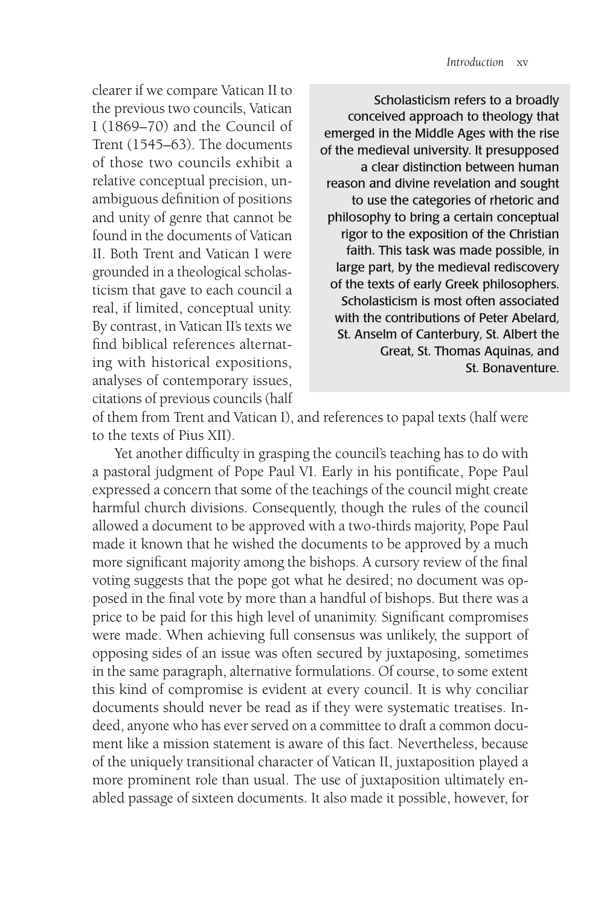clearer if we compare Vatican II to the previous two councils, Vatican I (1869–70) and the Council of Trent (1545–63). The documents of those two councils exhibit a relative conceptual precision, unambiguous definition of positions and unity of genre that cannot be found in the documents of Vatican II. Both Trent and Vatican I were grounded in a theological scholasticism that gave to each council a real, if limited, conceptual unity. By contrast, in Vatican II's texts we find biblical references alternating with historical expositions, analyses of contemporary issues, citations of previous councils (half

Scholasticism refers to a broadly conceived approach to theology that emerged in the Middle Ages with the rise of the medieval university. It presupposed a clear distinction between human reason and divine revelation and sought to use the categories of rhetoric and philosophy to bring a certain conceptual rigor to the exposition of the Christian faith. This task was made possible, in large part, by the medieval rediscovery of the texts of early Greek philosophers. Scholasticism is most often associated with the contributions of Peter Abelard, St. Anselm of Canterbury, St. Albert the Great, St. Thomas Aquinas, and St. Bonaventure.

of them from Trent and Vatican I), and references to papal texts (half were to the texts of Pius XII).

Yet another difficulty in grasping the council's teaching has to do with a pastoral judgment of Pope Paul VI. Early in his pontificate, Pope Paul expressed a concern that some of the teachings of the council might create harmful church divisions. Consequently, though the rules of the council allowed a document to be approved with a two-thirds majority, Pope Paul made it known that he wished the documents to be approved by a much more significant majority among the bishops. A cursory review of the final voting suggests that the pope got what he desired; no document was opposed in the final vote by more than a handful of bishops. But there was a price to be paid for this high level of unanimity. Significant compromises were made. When achieving full consensus was unlikely, the support of opposing sides of an issue was often secured by juxtaposing, sometimes in the same paragraph, alternative formulations. Of course, to some extent this kind of compromise is evident at every council. It is why conciliar documents should never be read as if they were systematic treatises. Indeed, anyone who has ever served on a committee to draft a common document like a mission statement is aware of this fact. Nevertheless, because of the uniquely transitional character of Vatican II, juxtaposition played a more prominent role than usual. The use of juxtaposition ultimately enabled passage of sixteen documents. It also made it possible, however, for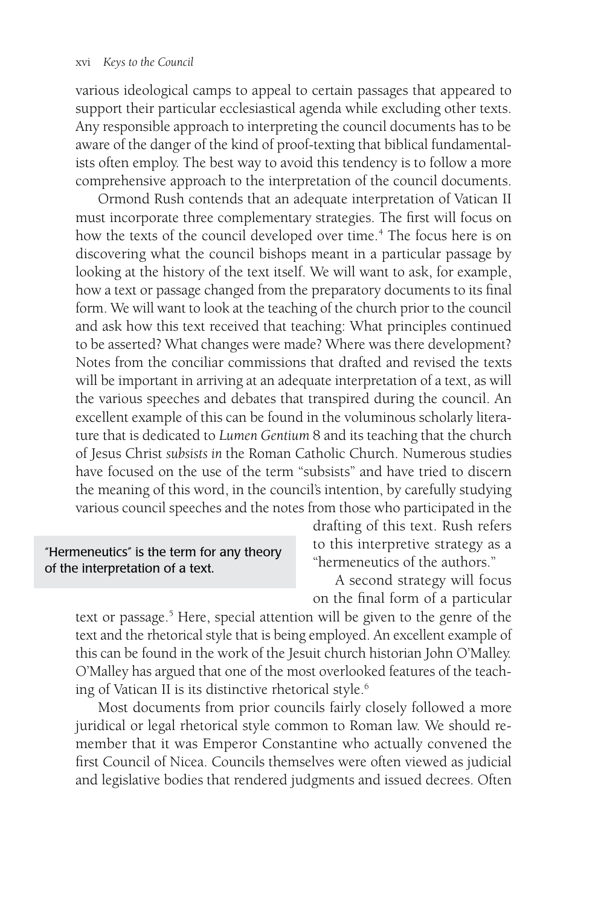various ideological camps to appeal to certain passages that appeared to support their particular ecclesiastical agenda while excluding other texts. Any responsible approach to interpreting the council documents has to be aware of the danger of the kind of proof-texting that biblical fundamentalists often employ. The best way to avoid this tendency is to follow a more comprehensive approach to the interpretation of the council documents.

Ormond Rush contends that an adequate interpretation of Vatican II must incorporate three complementary strategies. The first will focus on how the texts of the council developed over time.<sup>4</sup> The focus here is on discovering what the council bishops meant in a particular passage by looking at the history of the text itself. We will want to ask, for example, how a text or passage changed from the preparatory documents to its final form. We will want to look at the teaching of the church prior to the council and ask how this text received that teaching: What principles continued to be asserted? What changes were made? Where was there development? Notes from the conciliar commissions that drafted and revised the texts will be important in arriving at an adequate interpretation of a text, as will the various speeches and debates that transpired during the council. An excellent example of this can be found in the voluminous scholarly literature that is dedicated to *Lumen Gentium* 8 and its teaching that the church of Jesus Christ *subsists in* the Roman Catholic Church. Numerous studies have focused on the use of the term "subsists" and have tried to discern the meaning of this word, in the council's intention, by carefully studying various council speeches and the notes from those who participated in the

"Hermeneutics" is the term for any theory of the interpretation of a text.

drafting of this text. Rush refers to this interpretive strategy as a "hermeneutics of the authors."

A second strategy will focus on the final form of a particular

text or passage.<sup>5</sup> Here, special attention will be given to the genre of the text and the rhetorical style that is being employed. An excellent example of this can be found in the work of the Jesuit church historian John O'Malley. O'Malley has argued that one of the most overlooked features of the teaching of Vatican II is its distinctive rhetorical style.<sup>6</sup>

Most documents from prior councils fairly closely followed a more juridical or legal rhetorical style common to Roman law. We should remember that it was Emperor Constantine who actually convened the first Council of Nicea. Councils themselves were often viewed as judicial and legislative bodies that rendered judgments and issued decrees. Often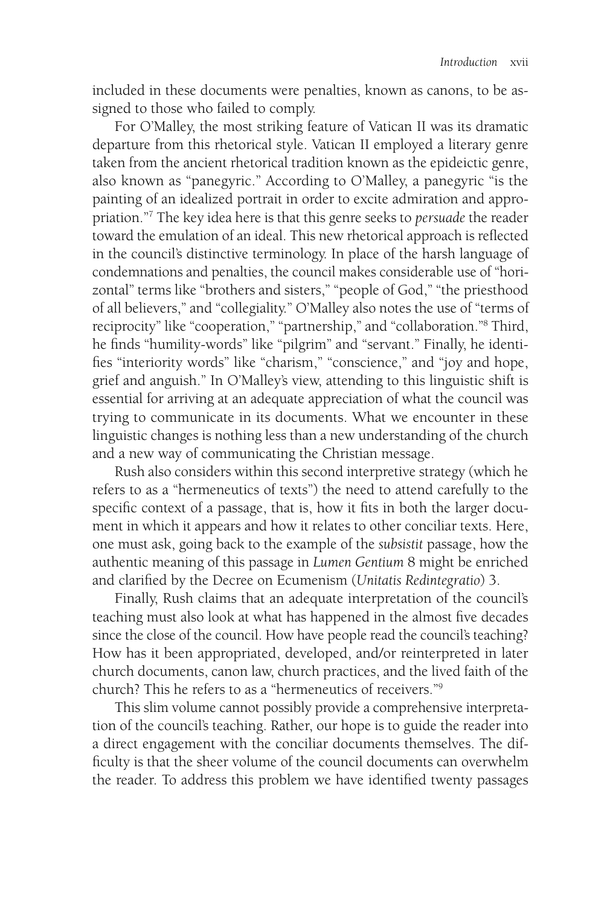included in these documents were penalties, known as canons, to be assigned to those who failed to comply.

For O'Malley, the most striking feature of Vatican II was its dramatic departure from this rhetorical style. Vatican II employed a literary genre taken from the ancient rhetorical tradition known as the epideictic genre, also known as "panegyric." According to O'Malley, a panegyric "is the painting of an idealized portrait in order to excite admiration and appropriation."7 The key idea here is that this genre seeks to *persuade* the reader toward the emulation of an ideal. This new rhetorical approach is reflected in the council's distinctive terminology. In place of the harsh language of condemnations and penalties, the council makes considerable use of "horizontal" terms like "brothers and sisters," "people of God," "the priesthood of all believers," and "collegiality." O'Malley also notes the use of "terms of reciprocity" like "cooperation," "partnership," and "collaboration."<sup>8</sup> Third, he finds "humility-words" like "pilgrim" and "servant." Finally, he identifies "interiority words" like "charism," "conscience," and "joy and hope, grief and anguish." In O'Malley's view, attending to this linguistic shift is essential for arriving at an adequate appreciation of what the council was trying to communicate in its documents. What we encounter in these linguistic changes is nothing less than a new understanding of the church and a new way of communicating the Christian message.

Rush also considers within this second interpretive strategy (which he refers to as a "hermeneutics of texts") the need to attend carefully to the specific context of a passage, that is, how it fits in both the larger document in which it appears and how it relates to other conciliar texts. Here, one must ask, going back to the example of the *subsistit* passage, how the authentic meaning of this passage in *Lumen Gentium* 8 might be enriched and clarified by the Decree on Ecumenism (*Unitatis Redintegratio*) 3.

Finally, Rush claims that an adequate interpretation of the council's teaching must also look at what has happened in the almost five decades since the close of the council. How have people read the council's teaching? How has it been appropriated, developed, and/or reinterpreted in later church documents, canon law, church practices, and the lived faith of the church? This he refers to as a "hermeneutics of receivers."9

This slim volume cannot possibly provide a comprehensive interpretation of the council's teaching. Rather, our hope is to guide the reader into a direct engagement with the conciliar documents themselves. The difficulty is that the sheer volume of the council documents can overwhelm the reader. To address this problem we have identified twenty passages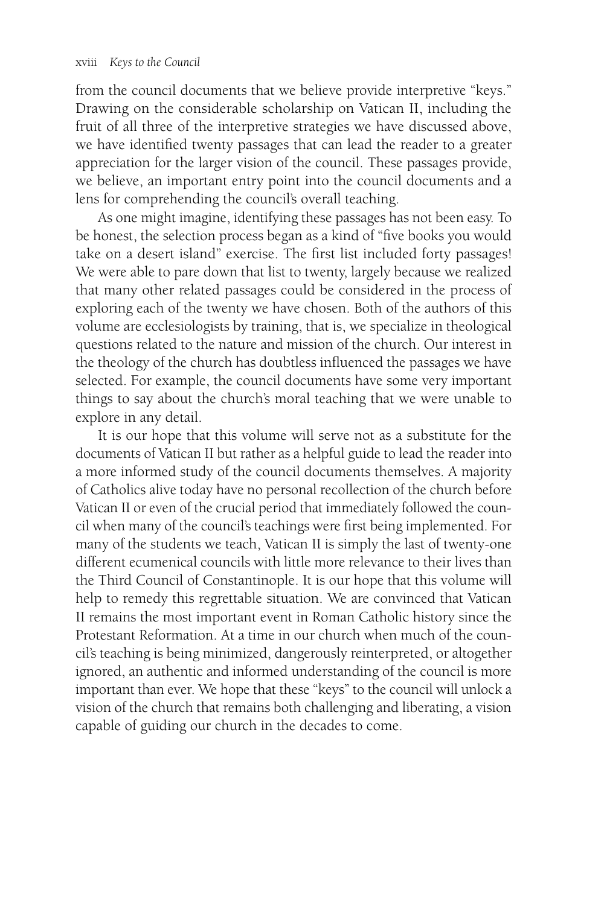from the council documents that we believe provide interpretive "keys." Drawing on the considerable scholarship on Vatican II, including the fruit of all three of the interpretive strategies we have discussed above, we have identified twenty passages that can lead the reader to a greater appreciation for the larger vision of the council. These passages provide, we believe, an important entry point into the council documents and a lens for comprehending the council's overall teaching.

As one might imagine, identifying these passages has not been easy. To be honest, the selection process began as a kind of "five books you would take on a desert island" exercise. The first list included forty passages! We were able to pare down that list to twenty, largely because we realized that many other related passages could be considered in the process of exploring each of the twenty we have chosen. Both of the authors of this volume are ecclesiologists by training, that is, we specialize in theological questions related to the nature and mission of the church. Our interest in the theology of the church has doubtless influenced the passages we have selected. For example, the council documents have some very important things to say about the church's moral teaching that we were unable to explore in any detail.

It is our hope that this volume will serve not as a substitute for the documents of Vatican II but rather as a helpful guide to lead the reader into a more informed study of the council documents themselves. A majority of Catholics alive today have no personal recollection of the church before Vatican II or even of the crucial period that immediately followed the council when many of the council's teachings were first being implemented. For many of the students we teach, Vatican II is simply the last of twenty-one different ecumenical councils with little more relevance to their lives than the Third Council of Constantinople. It is our hope that this volume will help to remedy this regrettable situation. We are convinced that Vatican II remains the most important event in Roman Catholic history since the Protestant Reformation. At a time in our church when much of the council's teaching is being minimized, dangerously reinterpreted, or altogether ignored, an authentic and informed understanding of the council is more important than ever. We hope that these "keys" to the council will unlock a vision of the church that remains both challenging and liberating, a vision capable of guiding our church in the decades to come.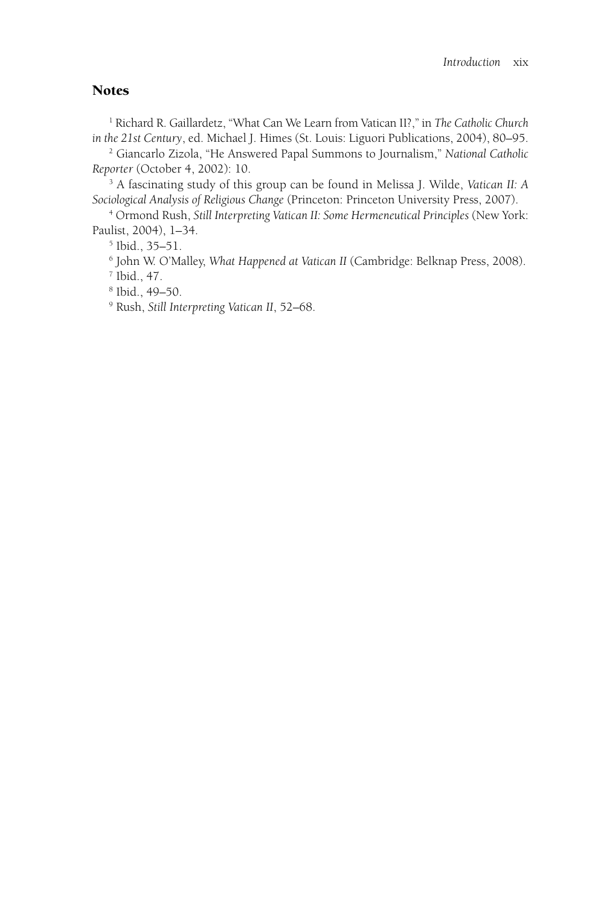#### Notes

1 Richard R. Gaillardetz, "What Can We Learn from Vatican II?," in *The Catholic Church in the 21st Century*, ed. Michael J. Himes (St. Louis: Liguori Publications, 2004), 80–95. 2

 Giancarlo Zizola, "He Answered Papal Summons to Journalism," *National Catholic Reporter* (October 4, 2002): 10.

3 A fascinating study of this group can be found in Melissa J. Wilde, *Vatican II: A Sociological Analysis of Religious Change* (Princeton: Princeton University Press, 2007).

4 Ormond Rush, *Still Interpreting Vatican II: Some Hermeneutical Principles* (New York: Paulist, 2004), 1–34.

5 Ibid., 35–51.

6 John W. O'Malley, *What Happened at Vatican II* (Cambridge: Belknap Press, 2008).

7 Ibid., 47.

8 Ibid., 49–50.

9 Rush, *Still Interpreting Vatican II*, 52–68.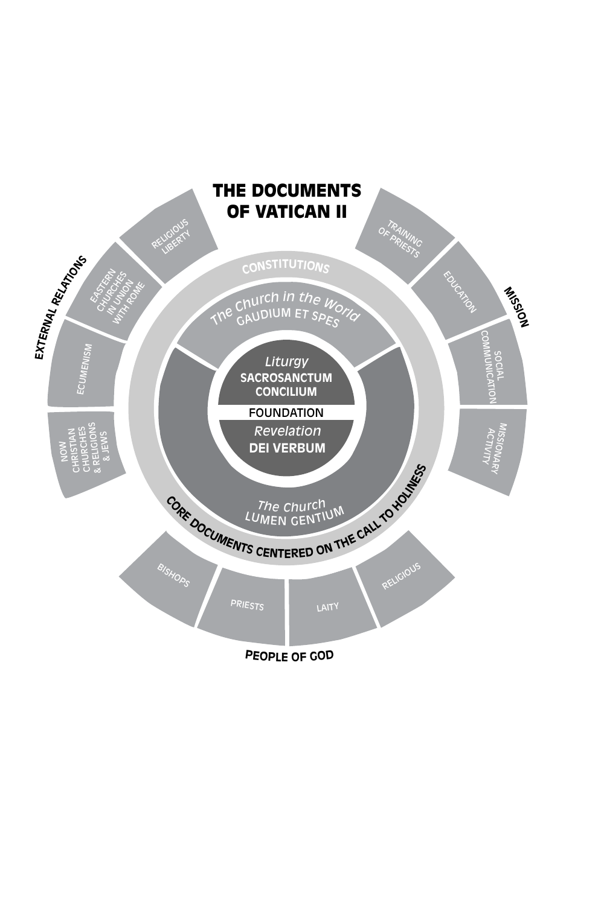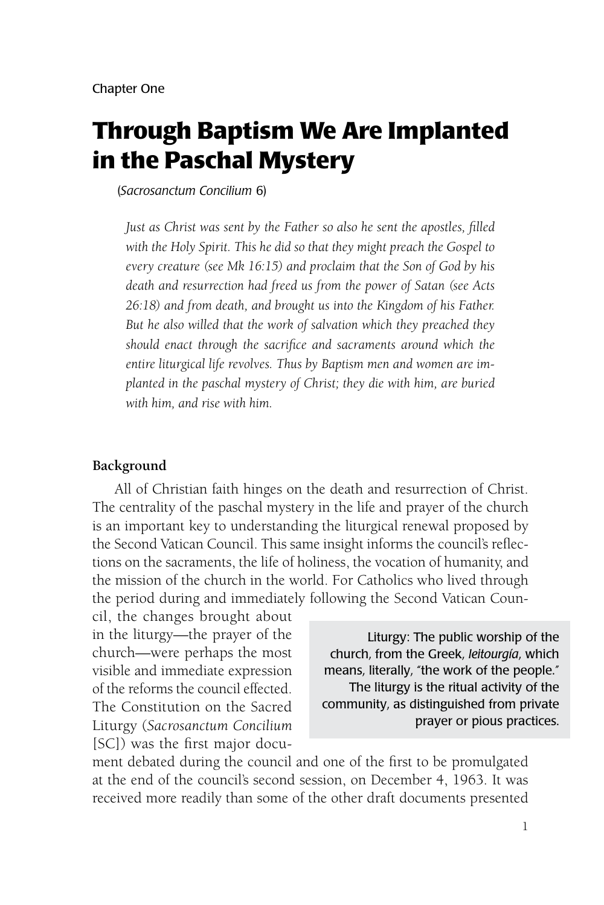## **Through Baptism We Are Implanted in the Paschal Mystery**

(*Sacrosanctum Concilium* 6)

*Just as Christ was sent by the Father so also he sent the apostles, filled with the Holy Spirit. This he did so that they might preach the Gospel to every creature (see Mk 16:15) and proclaim that the Son of God by his death and resurrection had freed us from the power of Satan (see Acts 26:18) and from death, and brought us into the Kingdom of his Father. But he also willed that the work of salvation which they preached they should enact through the sacrifice and sacraments around which the entire liturgical life revolves. Thus by Baptism men and women are implanted in the paschal mystery of Christ; they die with him, are buried with him, and rise with him.*

#### **Background**

All of Christian faith hinges on the death and resurrection of Christ. The centrality of the paschal mystery in the life and prayer of the church is an important key to understanding the liturgical renewal proposed by the Second Vatican Council. This same insight informs the council's reflections on the sacraments, the life of holiness, the vocation of humanity, and the mission of the church in the world. For Catholics who lived through the period during and immediately following the Second Vatican Coun-

cil, the changes brought about in the liturgy—the prayer of the church—were perhaps the most visible and immediate expression of the reforms the council effected. The Constitution on the Sacred Liturgy (*Sacrosanctum Concilium* [SC]) was the first major docu-

Liturgy: The public worship of the church, from the Greek, *leitourgía*, which means, literally, "the work of the people." The liturgy is the ritual activity of the community, as distinguished from private prayer or pious practices.

ment debated during the council and one of the first to be promulgated at the end of the council's second session, on December 4, 1963. It was received more readily than some of the other draft documents presented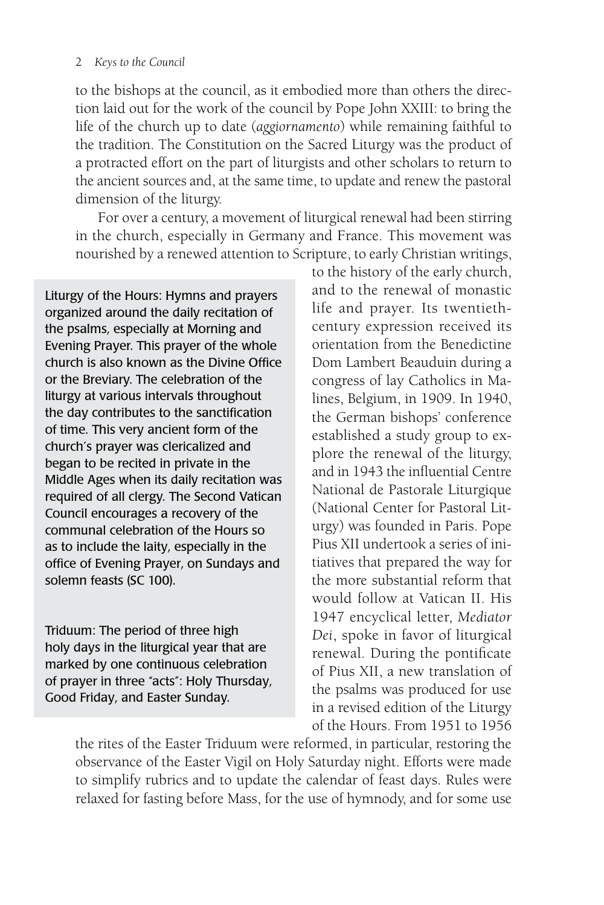#### 2 *Keys to the Council*

to the bishops at the council, as it embodied more than others the direction laid out for the work of the council by Pope John XXIII: to bring the life of the church up to date (*aggiornamento*) while remaining faithful to the tradition. The Constitution on the Sacred Liturgy was the product of a protracted effort on the part of liturgists and other scholars to return to the ancient sources and, at the same time, to update and renew the pastoral dimension of the liturgy.

For over a century, a movement of liturgical renewal had been stirring in the church, especially in Germany and France. This movement was nourished by a renewed attention to Scripture, to early Christian writings,

Liturgy of the Hours: Hymns and prayers organized around the daily recitation of the psalms, especially at Morning and Evening Prayer. This prayer of the whole church is also known as the Divine Office or the Breviary. The celebration of the liturgy at various intervals throughout the day contributes to the sanctification of time. This very ancient form of the church's prayer was clericalized and began to be recited in private in the Middle Ages when its daily recitation was required of all clergy. The Second Vatican Council encourages a recovery of the communal celebration of the Hours so as to include the laity, especially in the office of Evening Prayer, on Sundays and solemn feasts (SC 100).

Triduum: The period of three high holy days in the liturgical year that are marked by one continuous celebration of prayer in three "acts": Holy Thursday, Good Friday, and Easter Sunday.

to the history of the early church, and to the renewal of monastic life and prayer. Its twentiethcentury expression received its orientation from the Benedictine Dom Lambert Beauduin during a congress of lay Catholics in Malines, Belgium, in 1909. In 1940, the German bishops' conference established a study group to explore the renewal of the liturgy, and in 1943 the influential Centre National de Pastorale Liturgique (National Center for Pastoral Liturgy) was founded in Paris. Pope Pius XII undertook a series of initiatives that prepared the way for the more substantial reform that would follow at Vatican II. His 1947 encyclical letter, *Mediator Dei*, spoke in favor of liturgical renewal. During the pontificate of Pius XII, a new translation of the psalms was produced for use in a revised edition of the Liturgy of the Hours. From 1951 to 1956

the rites of the Easter Triduum were reformed, in particular, restoring the observance of the Easter Vigil on Holy Saturday night. Efforts were made to simplify rubrics and to update the calendar of feast days. Rules were relaxed for fasting before Mass, for the use of hymnody, and for some use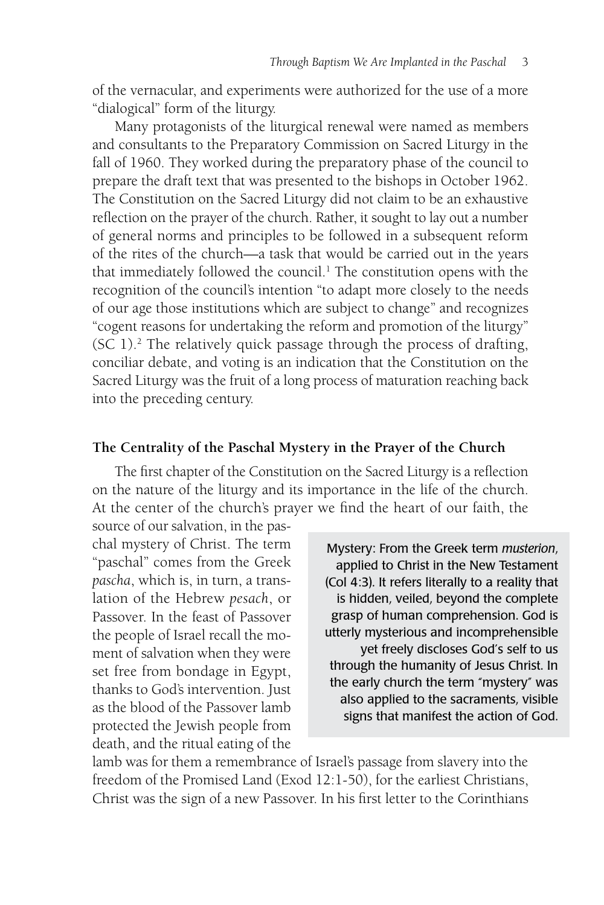of the vernacular, and experiments were authorized for the use of a more "dialogical" form of the liturgy.

Many protagonists of the liturgical renewal were named as members and consultants to the Preparatory Commission on Sacred Liturgy in the fall of 1960. They worked during the preparatory phase of the council to prepare the draft text that was presented to the bishops in October 1962. The Constitution on the Sacred Liturgy did not claim to be an exhaustive reflection on the prayer of the church. Rather, it sought to lay out a number of general norms and principles to be followed in a subsequent reform of the rites of the church—a task that would be carried out in the years that immediately followed the council.<sup>1</sup> The constitution opens with the recognition of the council's intention "to adapt more closely to the needs of our age those institutions which are subject to change" and recognizes "cogent reasons for undertaking the reform and promotion of the liturgy"  $(SC\ 1)<sup>2</sup>$  The relatively quick passage through the process of drafting, conciliar debate, and voting is an indication that the Constitution on the Sacred Liturgy was the fruit of a long process of maturation reaching back into the preceding century.

#### **The Centrality of the Paschal Mystery in the Prayer of the Church**

The first chapter of the Constitution on the Sacred Liturgy is a reflection on the nature of the liturgy and its importance in the life of the church. At the center of the church's prayer we find the heart of our faith, the

source of our salvation, in the paschal mystery of Christ. The term "paschal" comes from the Greek *pascha*, which is, in turn, a translation of the Hebrew *pesach*, or Passover. In the feast of Passover the people of Israel recall the moment of salvation when they were set free from bondage in Egypt, thanks to God's intervention. Just as the blood of the Passover lamb protected the Jewish people from death, and the ritual eating of the

Mystery: From the Greek term *musterion*, applied to Christ in the New Testament (Col 4:3). It refers literally to a reality that is hidden, veiled, beyond the complete grasp of human comprehension. God is utterly mysterious and incomprehensible yet freely discloses God's self to us through the humanity of Jesus Christ. In the early church the term "mystery" was also applied to the sacraments, visible signs that manifest the action of God.

lamb was for them a remembrance of Israel's passage from slavery into the freedom of the Promised Land (Exod 12:1-50), for the earliest Christians, Christ was the sign of a new Passover. In his first letter to the Corinthians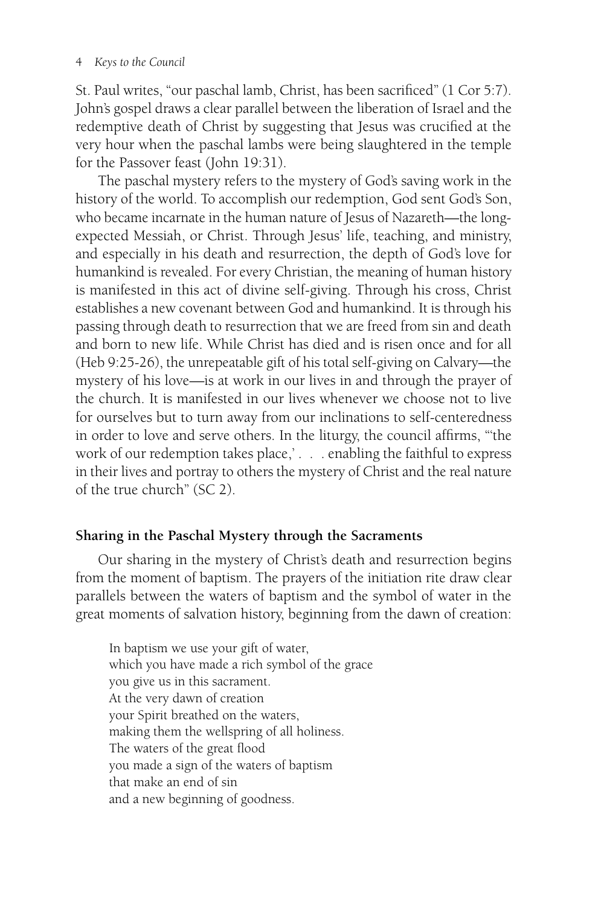#### 4 *Keys to the Council*

St. Paul writes, "our paschal lamb, Christ, has been sacrificed" (1 Cor 5:7). John's gospel draws a clear parallel between the liberation of Israel and the redemptive death of Christ by suggesting that Jesus was crucified at the very hour when the paschal lambs were being slaughtered in the temple for the Passover feast (John 19:31).

The paschal mystery refers to the mystery of God's saving work in the history of the world. To accomplish our redemption, God sent God's Son, who became incarnate in the human nature of Jesus of Nazareth—the longexpected Messiah, or Christ. Through Jesus' life, teaching, and ministry, and especially in his death and resurrection, the depth of God's love for humankind is revealed. For every Christian, the meaning of human history is manifested in this act of divine self-giving. Through his cross, Christ establishes a new covenant between God and humankind. It is through his passing through death to resurrection that we are freed from sin and death and born to new life. While Christ has died and is risen once and for all (Heb 9:25-26), the unrepeatable gift of his total self-giving on Calvary—the mystery of his love—is at work in our lives in and through the prayer of the church. It is manifested in our lives whenever we choose not to live for ourselves but to turn away from our inclinations to self-centeredness in order to love and serve others. In the liturgy, the council affirms, "'the work of our redemption takes place,' . . . enabling the faithful to express in their lives and portray to others the mystery of Christ and the real nature of the true church" (SC 2).

#### **Sharing in the Paschal Mystery through the Sacraments**

Our sharing in the mystery of Christ's death and resurrection begins from the moment of baptism. The prayers of the initiation rite draw clear parallels between the waters of baptism and the symbol of water in the great moments of salvation history, beginning from the dawn of creation:

In baptism we use your gift of water, which you have made a rich symbol of the grace you give us in this sacrament. At the very dawn of creation your Spirit breathed on the waters, making them the wellspring of all holiness. The waters of the great flood you made a sign of the waters of baptism that make an end of sin and a new beginning of goodness.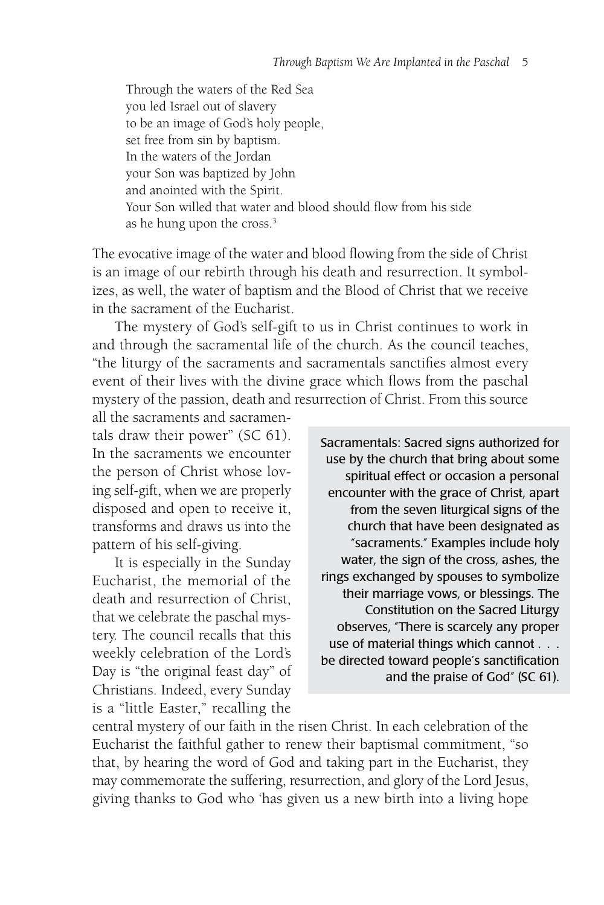Through the waters of the Red Sea you led Israel out of slavery to be an image of God's holy people, set free from sin by baptism. In the waters of the Jordan your Son was baptized by John and anointed with the Spirit. Your Son willed that water and blood should flow from his side as he hung upon the cross.3

The evocative image of the water and blood flowing from the side of Christ is an image of our rebirth through his death and resurrection. It symbolizes, as well, the water of baptism and the Blood of Christ that we receive in the sacrament of the Eucharist.

The mystery of God's self-gift to us in Christ continues to work in and through the sacramental life of the church. As the council teaches, "the liturgy of the sacraments and sacramentals sanctifies almost every event of their lives with the divine grace which flows from the paschal mystery of the passion, death and resurrection of Christ. From this source

all the sacraments and sacramentals draw their power" (SC 61). In the sacraments we encounter the person of Christ whose loving self-gift, when we are properly disposed and open to receive it, transforms and draws us into the pattern of his self-giving.

It is especially in the Sunday Eucharist, the memorial of the death and resurrection of Christ, that we celebrate the paschal mystery. The council recalls that this weekly celebration of the Lord's Day is "the original feast day" of Christians. Indeed, every Sunday is a "little Easter," recalling the

Sacramentals: Sacred signs authorized for use by the church that bring about some spiritual effect or occasion a personal encounter with the grace of Christ, apart from the seven liturgical signs of the church that have been designated as "sacraments." Examples include holy water, the sign of the cross, ashes, the rings exchanged by spouses to symbolize their marriage vows, or blessings. The Constitution on the Sacred Liturgy observes, "There is scarcely any proper use of material things which cannot . . . be directed toward people's sanctification and the praise of God" (SC 61).

central mystery of our faith in the risen Christ. In each celebration of the Eucharist the faithful gather to renew their baptismal commitment, "so that, by hearing the word of God and taking part in the Eucharist, they may commemorate the suffering, resurrection, and glory of the Lord Jesus, giving thanks to God who 'has given us a new birth into a living hope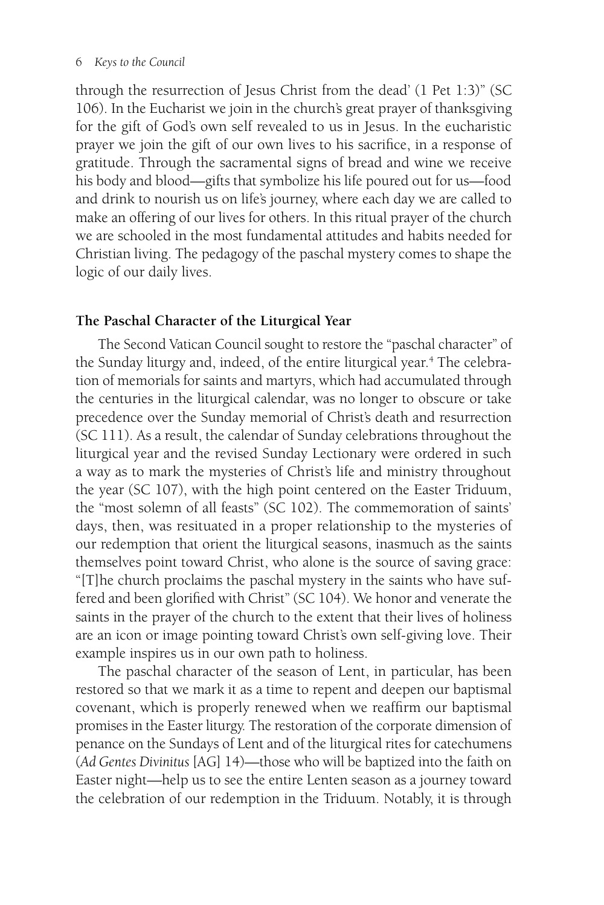#### 6 *Keys to the Council*

through the resurrection of Jesus Christ from the dead' (1 Pet 1:3)" (SC 106). In the Eucharist we join in the church's great prayer of thanksgiving for the gift of God's own self revealed to us in Jesus. In the eucharistic prayer we join the gift of our own lives to his sacrifice, in a response of gratitude. Through the sacramental signs of bread and wine we receive his body and blood—gifts that symbolize his life poured out for us—food and drink to nourish us on life's journey, where each day we are called to make an offering of our lives for others. In this ritual prayer of the church we are schooled in the most fundamental attitudes and habits needed for Christian living. The pedagogy of the paschal mystery comes to shape the logic of our daily lives.

#### **The Paschal Character of the Liturgical Year**

The Second Vatican Council sought to restore the "paschal character" of the Sunday liturgy and, indeed, of the entire liturgical year.<sup>4</sup> The celebration of memorials for saints and martyrs, which had accumulated through the centuries in the liturgical calendar, was no longer to obscure or take precedence over the Sunday memorial of Christ's death and resurrection (SC 111). As a result, the calendar of Sunday celebrations throughout the liturgical year and the revised Sunday Lectionary were ordered in such a way as to mark the mysteries of Christ's life and ministry throughout the year (SC 107), with the high point centered on the Easter Triduum, the "most solemn of all feasts" (SC 102). The commemoration of saints' days, then, was resituated in a proper relationship to the mysteries of our redemption that orient the liturgical seasons, inasmuch as the saints themselves point toward Christ, who alone is the source of saving grace: "[T]he church proclaims the paschal mystery in the saints who have suffered and been glorified with Christ" (SC 104). We honor and venerate the saints in the prayer of the church to the extent that their lives of holiness are an icon or image pointing toward Christ's own self-giving love. Their example inspires us in our own path to holiness.

The paschal character of the season of Lent, in particular, has been restored so that we mark it as a time to repent and deepen our baptismal covenant, which is properly renewed when we reaffirm our baptismal promises in the Easter liturgy. The restoration of the corporate dimension of penance on the Sundays of Lent and of the liturgical rites for catechumens (*Ad Gentes Divinitus* [AG] 14)—those who will be baptized into the faith on Easter night—help us to see the entire Lenten season as a journey toward the celebration of our redemption in the Triduum. Notably, it is through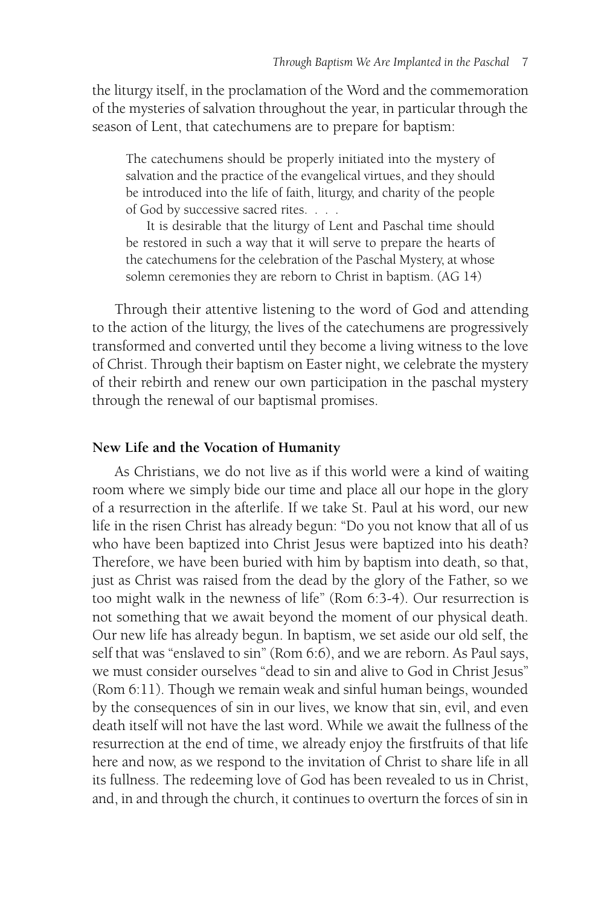the liturgy itself, in the proclamation of the Word and the commemoration of the mysteries of salvation throughout the year, in particular through the season of Lent, that catechumens are to prepare for baptism:

The catechumens should be properly initiated into the mystery of salvation and the practice of the evangelical virtues, and they should be introduced into the life of faith, liturgy, and charity of the people of God by successive sacred rites. . . .

 It is desirable that the liturgy of Lent and Paschal time should be restored in such a way that it will serve to prepare the hearts of the catechumens for the celebration of the Paschal Mystery, at whose solemn ceremonies they are reborn to Christ in baptism. (AG 14)

Through their attentive listening to the word of God and attending to the action of the liturgy, the lives of the catechumens are progressively transformed and converted until they become a living witness to the love of Christ. Through their baptism on Easter night, we celebrate the mystery of their rebirth and renew our own participation in the paschal mystery through the renewal of our baptismal promises.

#### **New Life and the Vocation of Humanity**

As Christians, we do not live as if this world were a kind of waiting room where we simply bide our time and place all our hope in the glory of a resurrection in the afterlife. If we take St. Paul at his word, our new life in the risen Christ has already begun: "Do you not know that all of us who have been baptized into Christ Jesus were baptized into his death? Therefore, we have been buried with him by baptism into death, so that, just as Christ was raised from the dead by the glory of the Father, so we too might walk in the newness of life" (Rom 6:3-4). Our resurrection is not something that we await beyond the moment of our physical death. Our new life has already begun. In baptism, we set aside our old self, the self that was "enslaved to sin" (Rom 6:6), and we are reborn. As Paul says, we must consider ourselves "dead to sin and alive to God in Christ Jesus" (Rom 6:11). Though we remain weak and sinful human beings, wounded by the consequences of sin in our lives, we know that sin, evil, and even death itself will not have the last word. While we await the fullness of the resurrection at the end of time, we already enjoy the firstfruits of that life here and now, as we respond to the invitation of Christ to share life in all its fullness. The redeeming love of God has been revealed to us in Christ, and, in and through the church, it continues to overturn the forces of sin in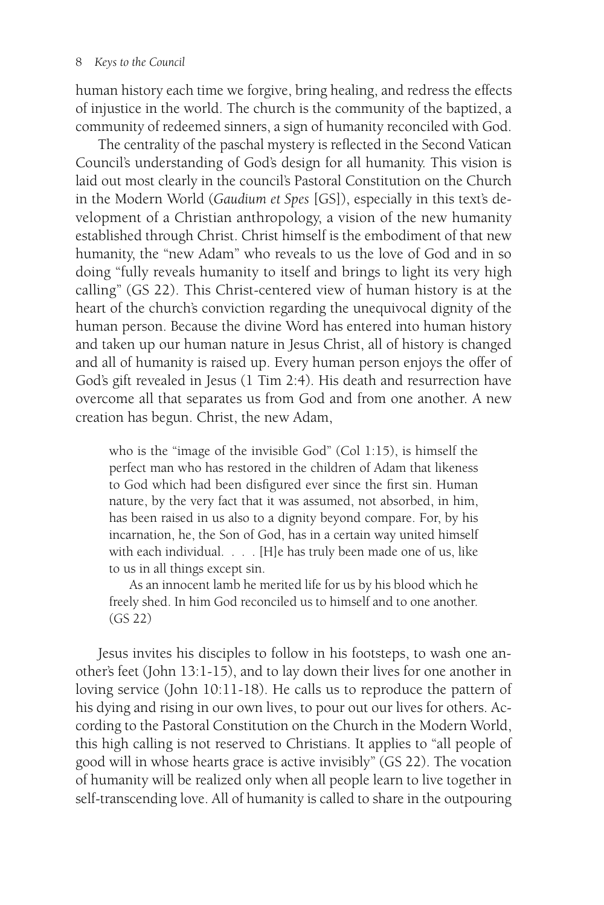human history each time we forgive, bring healing, and redress the effects of injustice in the world. The church is the community of the baptized, a community of redeemed sinners, a sign of humanity reconciled with God.

The centrality of the paschal mystery is reflected in the Second Vatican Council's understanding of God's design for all humanity. This vision is laid out most clearly in the council's Pastoral Constitution on the Church in the Modern World (*Gaudium et Spes* [GS]), especially in this text's development of a Christian anthropology, a vision of the new humanity established through Christ. Christ himself is the embodiment of that new humanity, the "new Adam" who reveals to us the love of God and in so doing "fully reveals humanity to itself and brings to light its very high calling" (GS 22). This Christ-centered view of human history is at the heart of the church's conviction regarding the unequivocal dignity of the human person. Because the divine Word has entered into human history and taken up our human nature in Jesus Christ, all of history is changed and all of humanity is raised up. Every human person enjoys the offer of God's gift revealed in Jesus (1 Tim 2:4). His death and resurrection have overcome all that separates us from God and from one another. A new creation has begun. Christ, the new Adam,

who is the "image of the invisible God" (Col 1:15), is himself the perfect man who has restored in the children of Adam that likeness to God which had been disfigured ever since the first sin. Human nature, by the very fact that it was assumed, not absorbed, in him, has been raised in us also to a dignity beyond compare. For, by his incarnation, he, the Son of God, has in a certain way united himself with each individual. . . . [H]e has truly been made one of us, like to us in all things except sin.

 As an innocent lamb he merited life for us by his blood which he freely shed. In him God reconciled us to himself and to one another. (GS 22)

Jesus invites his disciples to follow in his footsteps, to wash one another's feet (John 13:1-15), and to lay down their lives for one another in loving service (John 10:11-18). He calls us to reproduce the pattern of his dying and rising in our own lives, to pour out our lives for others. According to the Pastoral Constitution on the Church in the Modern World, this high calling is not reserved to Christians. It applies to "all people of good will in whose hearts grace is active invisibly" (GS 22). The vocation of humanity will be realized only when all people learn to live together in self-transcending love. All of humanity is called to share in the outpouring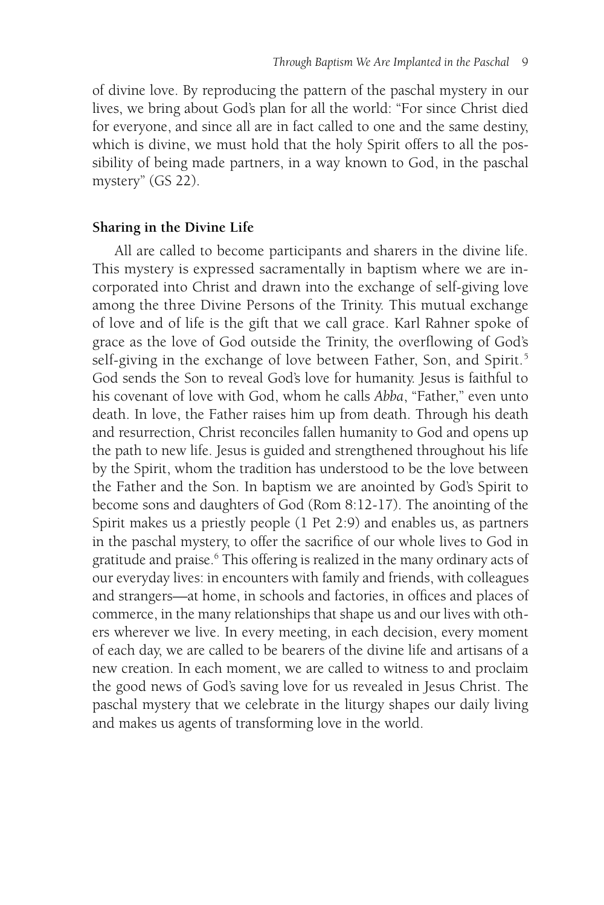of divine love. By reproducing the pattern of the paschal mystery in our lives, we bring about God's plan for all the world: "For since Christ died for everyone, and since all are in fact called to one and the same destiny, which is divine, we must hold that the holy Spirit offers to all the possibility of being made partners, in a way known to God, in the paschal mystery" (GS 22).

#### **Sharing in the Divine Life**

All are called to become participants and sharers in the divine life. This mystery is expressed sacramentally in baptism where we are incorporated into Christ and drawn into the exchange of self-giving love among the three Divine Persons of the Trinity. This mutual exchange of love and of life is the gift that we call grace. Karl Rahner spoke of grace as the love of God outside the Trinity, the overflowing of God's self-giving in the exchange of love between Father, Son, and Spirit.<sup>5</sup> God sends the Son to reveal God's love for humanity. Jesus is faithful to his covenant of love with God, whom he calls *Abba*, "Father," even unto death. In love, the Father raises him up from death. Through his death and resurrection, Christ reconciles fallen humanity to God and opens up the path to new life. Jesus is guided and strengthened throughout his life by the Spirit, whom the tradition has understood to be the love between the Father and the Son. In baptism we are anointed by God's Spirit to become sons and daughters of God (Rom 8:12-17). The anointing of the Spirit makes us a priestly people (1 Pet 2:9) and enables us, as partners in the paschal mystery, to offer the sacrifice of our whole lives to God in gratitude and praise.<sup>6</sup> This offering is realized in the many ordinary acts of our everyday lives: in encounters with family and friends, with colleagues and strangers—at home, in schools and factories, in offices and places of commerce, in the many relationships that shape us and our lives with others wherever we live. In every meeting, in each decision, every moment of each day, we are called to be bearers of the divine life and artisans of a new creation. In each moment, we are called to witness to and proclaim the good news of God's saving love for us revealed in Jesus Christ. The paschal mystery that we celebrate in the liturgy shapes our daily living and makes us agents of transforming love in the world.